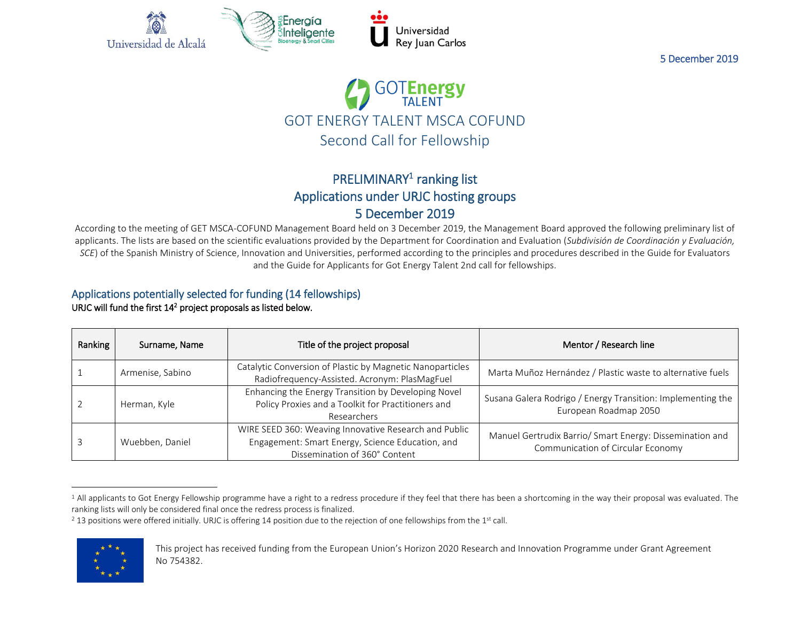



# PRELIMINARY<sup>1</sup> ranking list Applications under URJC hosting groups 5 December 2019

According to the meeting of GET MSCA-COFUND Management Board held on 3 December 2019, the Management Board approved the following preliminary list of applicants. The lists are based on the scientific evaluations provided by the Department for Coordination and Evaluation (*Subdivisión de Coordinación y Evaluación, SCE*) of the Spanish Ministry of Science, Innovation and Universities, performed according to the principles and procedures described in the Guide for Evaluators and the Guide for Applicants for Got Energy Talent 2nd call for fellowships.

#### Applications potentially selected for funding (14 fellowships) URJC will fund the first  $14<sup>2</sup>$  project proposals as listed below.

| Ranking | Surname, Name    | Title of the project proposal                                                                                                              | Mentor / Research line                                                                        |
|---------|------------------|--------------------------------------------------------------------------------------------------------------------------------------------|-----------------------------------------------------------------------------------------------|
|         | Armenise, Sabino | Catalytic Conversion of Plastic by Magnetic Nanoparticles<br>Radiofrequency-Assisted. Acronym: PlasMagFuel                                 | Marta Muñoz Hernández / Plastic waste to alternative fuels                                    |
|         | Herman, Kyle     | Enhancing the Energy Transition by Developing Novel<br>Policy Proxies and a Toolkit for Practitioners and<br>Researchers                   | Susana Galera Rodrigo / Energy Transition: Implementing the<br>European Roadmap 2050          |
|         | Wuebben, Daniel  | WIRE SEED 360: Weaving Innovative Research and Public<br>Engagement: Smart Energy, Science Education, and<br>Dissemination of 360° Content | Manuel Gertrudix Barrio/ Smart Energy: Dissemination and<br>Communication of Circular Economy |

 $2$  13 positions were offered initially. URJC is offering 14 position due to the rejection of one fellowships from the 1st call.



 $\overline{a}$ 

<sup>&</sup>lt;sup>1</sup> All applicants to Got Energy Fellowship programme have a right to a redress procedure if they feel that there has been a shortcoming in the way their proposal was evaluated. The ranking lists will only be considered final once the redress process is finalized.

This project has received funding from the European Union's Horizon 2020 Research and Innovation Programme under Grant Agreement No 754382.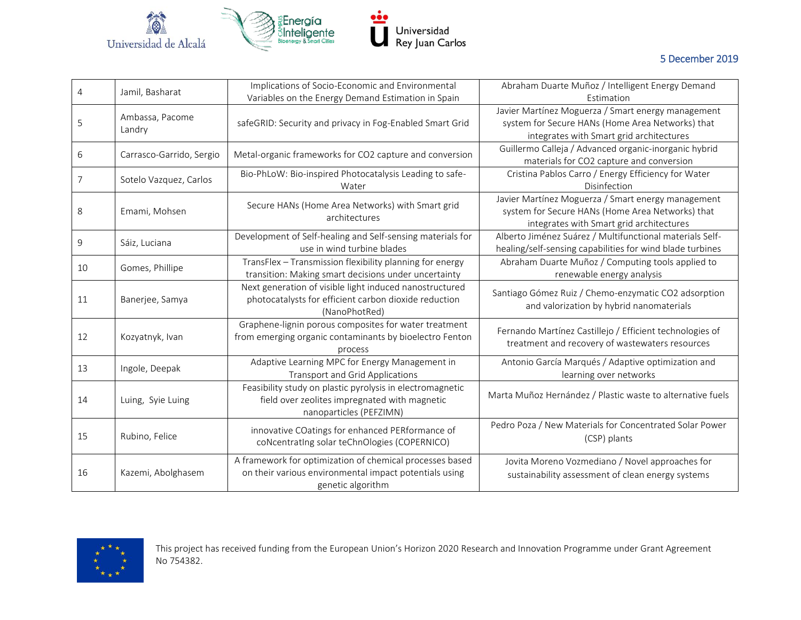

| 4  | Jamil, Basharat           | Implications of Socio-Economic and Environmental<br>Variables on the Energy Demand Estimation in Spain                                  | Abraham Duarte Muñoz / Intelligent Energy Demand<br>Estimation                                                                                     |
|----|---------------------------|-----------------------------------------------------------------------------------------------------------------------------------------|----------------------------------------------------------------------------------------------------------------------------------------------------|
| 5  | Ambassa, Pacome<br>Landry | safeGRID: Security and privacy in Fog-Enabled Smart Grid                                                                                | Javier Martínez Moguerza / Smart energy management<br>system for Secure HANs (Home Area Networks) that<br>integrates with Smart grid architectures |
| 6  | Carrasco-Garrido, Sergio  | Metal-organic frameworks for CO2 capture and conversion                                                                                 | Guillermo Calleja / Advanced organic-inorganic hybrid<br>materials for CO2 capture and conversion                                                  |
| 7  | Sotelo Vazquez, Carlos    | Bio-PhLoW: Bio-inspired Photocatalysis Leading to safe-<br>Water                                                                        | Cristina Pablos Carro / Energy Efficiency for Water<br>Disinfection                                                                                |
| 8  | Emami, Mohsen             | Secure HANs (Home Area Networks) with Smart grid<br>architectures                                                                       | Javier Martínez Moguerza / Smart energy management<br>system for Secure HANs (Home Area Networks) that<br>integrates with Smart grid architectures |
| 9  | Sáiz, Luciana             | Development of Self-healing and Self-sensing materials for<br>use in wind turbine blades                                                | Alberto Jiménez Suárez / Multifunctional materials Self-<br>healing/self-sensing capabilities for wind blade turbines                              |
| 10 | Gomes, Phillipe           | TransFlex - Transmission flexibility planning for energy<br>transition: Making smart decisions under uncertainty                        | Abraham Duarte Muñoz / Computing tools applied to<br>renewable energy analysis                                                                     |
| 11 | Banerjee, Samya           | Next generation of visible light induced nanostructured<br>photocatalysts for efficient carbon dioxide reduction<br>(NanoPhotRed)       | Santiago Gómez Ruiz / Chemo-enzymatic CO2 adsorption<br>and valorization by hybrid nanomaterials                                                   |
| 12 | Kozyatnyk, Ivan           | Graphene-lignin porous composites for water treatment<br>from emerging organic contaminants by bioelectro Fenton<br>process             | Fernando Martínez Castillejo / Efficient technologies of<br>treatment and recovery of wastewaters resources                                        |
| 13 | Ingole, Deepak            | Adaptive Learning MPC for Energy Management in<br><b>Transport and Grid Applications</b>                                                | Antonio García Marqués / Adaptive optimization and<br>learning over networks                                                                       |
| 14 | Luing, Syie Luing         | Feasibility study on plastic pyrolysis in electromagnetic<br>field over zeolites impregnated with magnetic<br>nanoparticles (PEFZIMN)   | Marta Muñoz Hernández / Plastic waste to alternative fuels                                                                                         |
| 15 | Rubino, Felice            | innovative COatings for enhanced PERformance of<br>coNcentratIng solar teChnOlogies (COPERNICO)                                         | Pedro Poza / New Materials for Concentrated Solar Power<br>(CSP) plants                                                                            |
| 16 | Kazemi, Abolghasem        | A framework for optimization of chemical processes based<br>on their various environmental impact potentials using<br>genetic algorithm | Jovita Moreno Vozmediano / Novel approaches for<br>sustainability assessment of clean energy systems                                               |

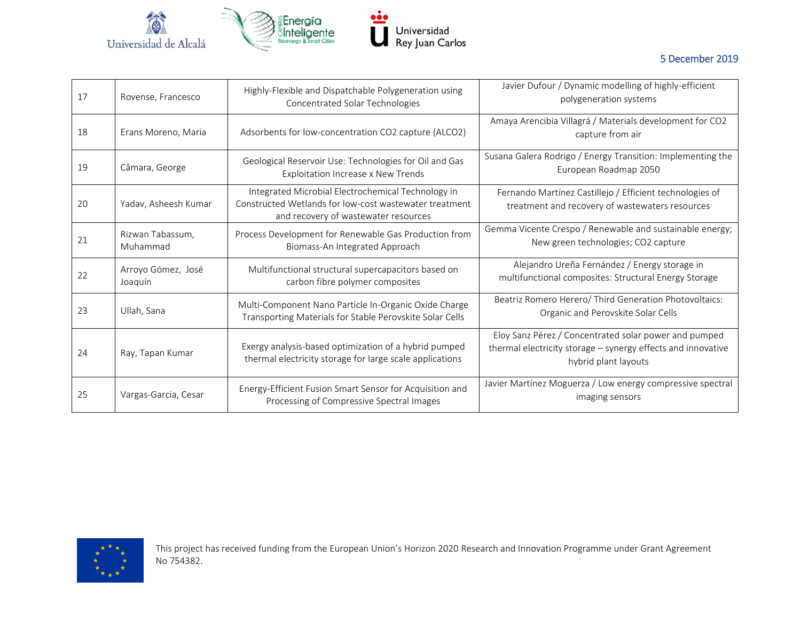

| 17 | Rovense, Francesco            | Highly-Flexible and Dispatchable Polygeneration using<br>Concentrated Solar Technologies                                                             | Javier Dufour / Dynamic modelling of highly-efficient<br>polygeneration systems                                                               |
|----|-------------------------------|------------------------------------------------------------------------------------------------------------------------------------------------------|-----------------------------------------------------------------------------------------------------------------------------------------------|
| 18 | Erans Moreno, Maria           | Adsorbents for low-concentration CO2 capture (ALCO2)                                                                                                 | Amaya Arencibia Villagrá / Materials development for CO2<br>capture from air                                                                  |
| 19 | Câmara, George                | Geological Reservoir Use: Technologies for Oil and Gas<br>Exploitation Increase x New Trends                                                         | Susana Galera Rodrigo / Energy Transition: Implementing the<br>European Roadmap 2050                                                          |
| 20 | Yadav, Asheesh Kumar          | Integrated Microbial Electrochemical Technology in<br>Constructed Wetlands for low-cost wastewater treatment<br>and recovery of wastewater resources | Fernando Martínez Castillejo / Efficient technologies of<br>treatment and recovery of wastewaters resources                                   |
| 21 | Rizwan Tabassum,<br>Muhammad  | Process Development for Renewable Gas Production from<br>Biomass-An Integrated Approach                                                              | Gemma Vicente Crespo / Renewable and sustainable energy;<br>New green technologies; CO2 capture                                               |
| 22 | Arroyo Gómez, José<br>Joaquín | Multifunctional structural supercapacitors based on<br>carbon fibre polymer composites                                                               | Alejandro Ureña Fernández / Energy storage in<br>multifunctional composites: Structural Energy Storage                                        |
| 23 | Ullah, Sana                   | Multi-Component Nano Particle In-Organic Oxide Charge<br>Transporting Materials for Stable Perovskite Solar Cells                                    | Beatriz Romero Herero/ Third Generation Photovoltaics:<br>Organic and Perovskite Solar Cells                                                  |
| 24 | Ray, Tapan Kumar              | Exergy analysis-based optimization of a hybrid pumped<br>thermal electricity storage for large scale applications                                    | Eloy Sanz Pérez / Concentrated solar power and pumped<br>thermal electricity storage - synergy effects and innovative<br>hybrid plant layouts |
| 25 | Vargas-Garcia, Cesar          | Energy-Efficient Fusion Smart Sensor for Acquisition and<br>Processing of Compressive Spectral Images                                                | Javier Martínez Moguerza / Low energy compressive spectral<br>imaging sensors                                                                 |



This project has received funding from the European Union's Horizon 2020 Research and Innovation Programme under Grant Agreement No 754382.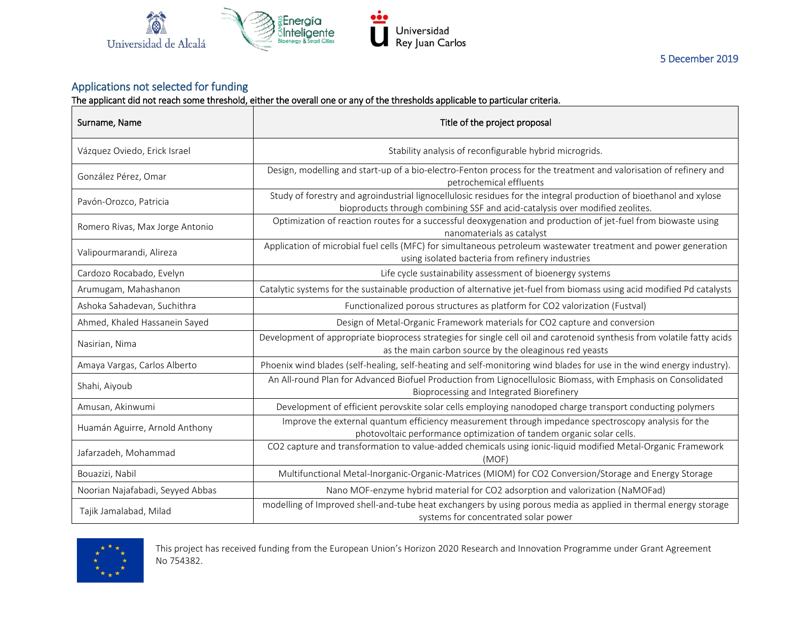

## Applications not selected for funding

The applicant did not reach some threshold, either the overall one or any of the thresholds applicable to particular criteria.

| Surname, Name                    | Title of the project proposal                                                                                                                                                                      |  |
|----------------------------------|----------------------------------------------------------------------------------------------------------------------------------------------------------------------------------------------------|--|
| Vázquez Oviedo, Erick Israel     | Stability analysis of reconfigurable hybrid microgrids.                                                                                                                                            |  |
| González Pérez, Omar             | Design, modelling and start-up of a bio-electro-Fenton process for the treatment and valorisation of refinery and<br>petrochemical effluents                                                       |  |
| Pavón-Orozco, Patricia           | Study of forestry and agroindustrial lignocellulosic residues for the integral production of bioethanol and xylose<br>bioproducts through combining SSF and acid-catalysis over modified zeolites. |  |
| Romero Rivas, Max Jorge Antonio  | Optimization of reaction routes for a successful deoxygenation and production of jet-fuel from biowaste using<br>nanomaterials as catalyst                                                         |  |
| Valipourmarandi, Alireza         | Application of microbial fuel cells (MFC) for simultaneous petroleum wastewater treatment and power generation<br>using isolated bacteria from refinery industries                                 |  |
| Cardozo Rocabado, Evelyn         | Life cycle sustainability assessment of bioenergy systems                                                                                                                                          |  |
| Arumugam, Mahashanon             | Catalytic systems for the sustainable production of alternative jet-fuel from biomass using acid modified Pd catalysts                                                                             |  |
| Ashoka Sahadevan, Suchithra      | Functionalized porous structures as platform for CO2 valorization (Fustval)                                                                                                                        |  |
| Ahmed, Khaled Hassanein Sayed    | Design of Metal-Organic Framework materials for CO2 capture and conversion                                                                                                                         |  |
| Nasirian, Nima                   | Development of appropriate bioprocess strategies for single cell oil and carotenoid synthesis from volatile fatty acids<br>as the main carbon source by the oleaginous red yeasts                  |  |
| Amaya Vargas, Carlos Alberto     | Phoenix wind blades (self-healing, self-heating and self-monitoring wind blades for use in the wind energy industry).                                                                              |  |
| Shahi, Aiyoub                    | An All-round Plan for Advanced Biofuel Production from Lignocellulosic Biomass, with Emphasis on Consolidated<br>Bioprocessing and Integrated Biorefinery                                          |  |
| Amusan, Akinwumi                 | Development of efficient perovskite solar cells employing nanodoped charge transport conducting polymers                                                                                           |  |
| Huamán Aguirre, Arnold Anthony   | Improve the external quantum efficiency measurement through impedance spectroscopy analysis for the<br>photovoltaic performance optimization of tandem organic solar cells.                        |  |
| Jafarzadeh, Mohammad             | CO2 capture and transformation to value-added chemicals using ionic-liquid modified Metal-Organic Framework<br>(MOF)                                                                               |  |
| Bouazizi, Nabil                  | Multifunctional Metal-Inorganic-Organic-Matrices (MIOM) for CO2 Conversion/Storage and Energy Storage                                                                                              |  |
| Noorian Najafabadi, Seyyed Abbas | Nano MOF-enzyme hybrid material for CO2 adsorption and valorization (NaMOFad)                                                                                                                      |  |
| Tajik Jamalabad, Milad           | modelling of Improved shell-and-tube heat exchangers by using porous media as applied in thermal energy storage<br>systems for concentrated solar power                                            |  |



This project has received funding from the European Union's Horizon 2020 Research and Innovation Programme under Grant Agreement No 754382.